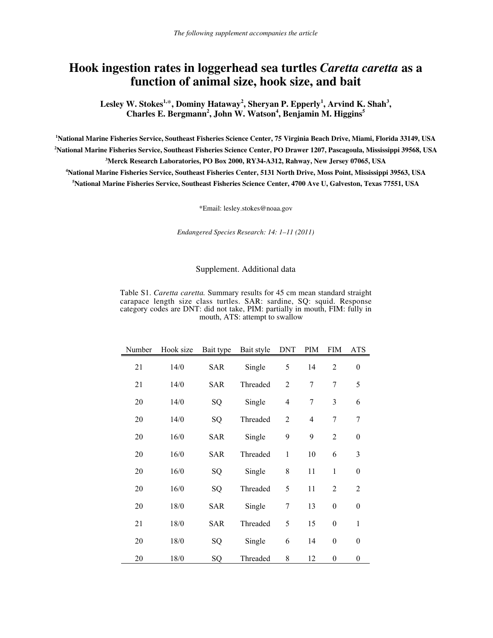## **Hook ingestion rates in loggerhead sea turtles** *Caretta caretta* **as a function of animal size, hook size, and bait**

**Lesley W. Stokes1,**\***, Dominy Hataway<sup>2</sup> , Sheryan P. Epperly<sup>1</sup> , Arvind K. Shah<sup>3</sup> ,** Charles E. Bergmann<sup>2</sup>, John W. Watson<sup>4</sup>, Benjamin M. Higgins<sup>5</sup>

 **National Marine Fisheries Service, Southeast Fisheries Science Center, 75 Virginia Beach Drive, Miami, Florida 33149, USA National Marine Fisheries Service, Southeast Fisheries Science Center, PO Drawer 1207, Pascagoula, Mississippi 39568, USA Merck Research Laboratories, PO Box 2000, RY34-A312, Rahway, New Jersey 07065, USA National Marine Fisheries Service, Southeast Fisheries Center, 5131 North Drive, Moss Point, Mississippi 39563, USA National Marine Fisheries Service, Southeast Fisheries Science Center, 4700 Ave U, Galveston, Texas 77551, USA**

\*Email: lesley.stokes@noaa.gov

*Endangered Species Research: 14: 1–11 (2011)*

## Supplement. Additional data

Table S1. *Caretta caretta.* Summary results for 45 cm mean standard straight carapace length size class turtles. SAR: sardine, SQ: squid. Response category codes are DNT: did not take, PIM: partially in mouth, FIM: fully in mouth, ATS: attempt to swallow

| Number | Hook size | Bait type  | Bait style | <b>DNT</b>       | PIM              | <b>FIM</b>       | ATS              |
|--------|-----------|------------|------------|------------------|------------------|------------------|------------------|
| 21     | 14/0      | <b>SAR</b> | Single     | 5                | 14               | $\overline{2}$   | $\boldsymbol{0}$ |
| 21     | 14/0      | <b>SAR</b> | Threaded   | $\overline{2}$   | $\overline{7}$   | $\overline{7}$   | 5                |
| 20     | 14/0      | SQ         | Single     | $\overline{4}$   | $\boldsymbol{7}$ | 3                | 6                |
| 20     | 14/0      | SQ         | Threaded   | $\overline{2}$   | $\overline{4}$   | $\tau$           | $\boldsymbol{7}$ |
| 20     | 16/0      | SAR        | Single     | 9                | 9                | $\overline{2}$   | $\boldsymbol{0}$ |
| 20     | 16/0      | <b>SAR</b> | Threaded   | $\mathbf{1}$     | 10               | 6                | 3                |
| 20     | 16/0      | SQ         | Single     | 8                | 11               | $\mathbf{1}$     | $\boldsymbol{0}$ |
| 20     | 16/0      | SQ         | Threaded   | 5                | 11               | $\overline{2}$   | $\overline{2}$   |
| 20     | 18/0      | SAR        | Single     | $\boldsymbol{7}$ | 13               | $\boldsymbol{0}$ | $\boldsymbol{0}$ |
| 21     | 18/0      | SAR        | Threaded   | 5                | 15               | $\boldsymbol{0}$ | $\mathbf{1}$     |
| 20     | 18/0      | SQ         | Single     | 6                | 14               | $\boldsymbol{0}$ | $\boldsymbol{0}$ |
| 20     | 18/0      | SQ         | Threaded   | 8                | 12               | $\boldsymbol{0}$ | $\boldsymbol{0}$ |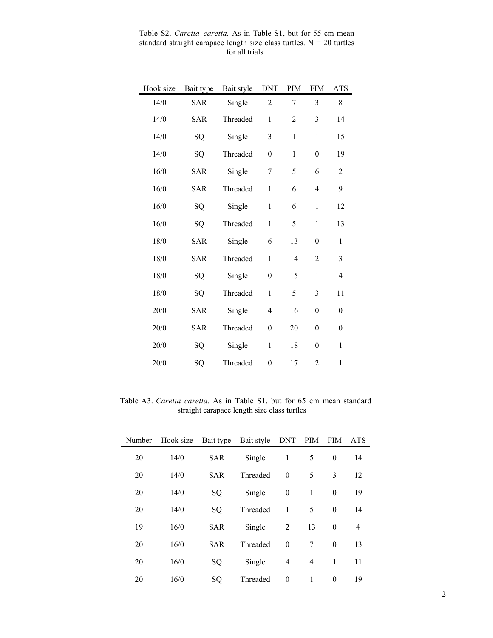| Hook size | Bait type  | Bait style | <b>DNT</b>       | PIM            | <b>FIM</b>       | <b>ATS</b>       |
|-----------|------------|------------|------------------|----------------|------------------|------------------|
| 14/0      | <b>SAR</b> | Single     | $\overline{c}$   | $\overline{7}$ | 3                | 8                |
| 14/0      | <b>SAR</b> | Threaded   | $\,1$            | $\overline{2}$ | 3                | 14               |
| 14/0      | SQ         | Single     | $\mathfrak{Z}$   | $\mathbf{1}$   | $\mathbf{1}$     | 15               |
| 14/0      | SQ         | Threaded   | $\boldsymbol{0}$ | $\,1$          | $\boldsymbol{0}$ | 19               |
| 16/0      | <b>SAR</b> | Single     | $\boldsymbol{7}$ | 5              | 6                | $\sqrt{2}$       |
| 16/0      | <b>SAR</b> | Threaded   | $\mathbf{1}$     | 6              | $\overline{4}$   | 9                |
| 16/0      | SQ         | Single     | $\mathbf{1}$     | 6              | $\mathbf 1$      | 12               |
| 16/0      | SQ         | Threaded   | $\mathbf{1}$     | 5              | $\mathbf{1}$     | 13               |
| 18/0      | <b>SAR</b> | Single     | 6                | 13             | $\boldsymbol{0}$ | $\mathbf{1}$     |
| 18/0      | <b>SAR</b> | Threaded   | $\mathbf{1}$     | 14             | $\overline{2}$   | $\mathfrak{Z}$   |
| 18/0      | SQ         | Single     | $\boldsymbol{0}$ | 15             | $\mathbf{1}$     | 4                |
| 18/0      | SQ         | Threaded   | $\mathbf{1}$     | 5              | 3                | 11               |
| 20/0      | <b>SAR</b> | Single     | 4                | 16             | $\boldsymbol{0}$ | $\boldsymbol{0}$ |
| 20/0      | <b>SAR</b> | Threaded   | $\boldsymbol{0}$ | 20             | $\boldsymbol{0}$ | $\mathbf{0}$     |
| 20/0      | SQ         | Single     | $\mathbf{1}$     | 18             | $\boldsymbol{0}$ | 1                |
| 20/0      | SQ         | Threaded   | $\boldsymbol{0}$ | 17             | $\boldsymbol{2}$ | $\mathbf{1}$     |

Table S2. *Caretta caretta.* As in Table S1, but for 55 cm mean standard straight carapace length size class turtles.  $N = 20$  turtles for all trials

Table A3. *Caretta caretta.* As in Table S1, but for 65 cm mean standard straight carapace length size class turtles

| Number | Hook size |                                              | Bait type Bait style DNT |                  | PIM            | <b>FIM</b>       | <b>ATS</b> |
|--------|-----------|----------------------------------------------|--------------------------|------------------|----------------|------------------|------------|
| 20     | 14/0      | <b>SAR</b>                                   | Single                   | 1                | 5              | $\boldsymbol{0}$ | 14         |
| 20     | 14/0      | Threaded<br>$\theta$<br>5<br>3<br><b>SAR</b> |                          |                  | 12             |                  |            |
| 20     | 14/0      | SQ                                           | Single                   | $\boldsymbol{0}$ | 1              | $\boldsymbol{0}$ | 19         |
| 20     | 14/0      | SQ                                           | Threaded                 | 1                | 5              | $\boldsymbol{0}$ | 14         |
| 19     | 16/0      | <b>SAR</b>                                   | Single                   | 2                | 13             | $\boldsymbol{0}$ | 4          |
| 20     | 16/0      | <b>SAR</b>                                   | Threaded                 | $\theta$         | 7              | $\boldsymbol{0}$ | 13         |
| 20     | 16/0      | SQ                                           | Single                   | $\overline{4}$   | $\overline{4}$ | 1                | 11         |
| 20     | 16/0      | SQ                                           | Threaded                 | $\theta$         | 1              | $\boldsymbol{0}$ | 19         |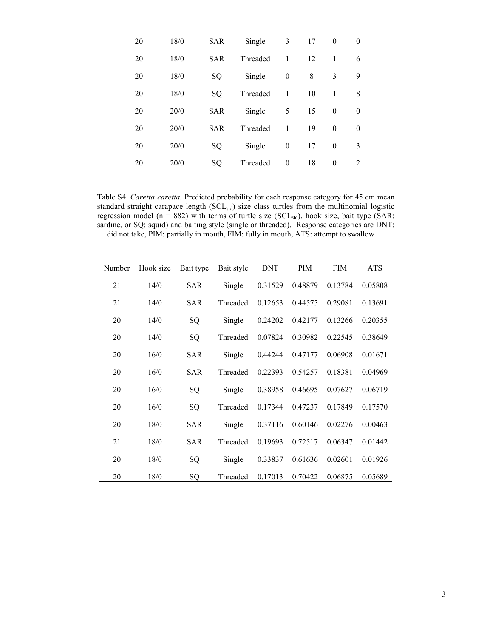| 20 | 18/0 | <b>SAR</b> | Single   | 3            | 17 | $\theta$ | $\theta$         |
|----|------|------------|----------|--------------|----|----------|------------------|
| 20 | 18/0 | <b>SAR</b> | Threaded | 1            | 12 | 1        | 6                |
| 20 | 18/0 | SQ         | Single   | $\mathbf{0}$ | 8  | 3        | 9                |
| 20 | 18/0 | SQ         | Threaded | 1            | 10 | 1        | 8                |
| 20 | 20/0 | <b>SAR</b> | Single   | 5            | 15 | $\theta$ | $\boldsymbol{0}$ |
| 20 | 20/0 | <b>SAR</b> | Threaded | 1            | 19 | $\theta$ | $\theta$         |
| 20 | 20/0 | SQ         | Single   | $\mathbf{0}$ | 17 | $\theta$ | 3                |
| 20 | 20/0 | SQ         | Threaded | $\theta$     | 18 | $\theta$ | 2                |

Table S4. *Caretta caretta.* Predicted probability for each response category for 45 cm mean standard straight carapace length (SCL<sub>std</sub>) size class turtles from the multinomial logistic regression model (n = 882) with terms of turtle size (SCL<sub>std</sub>), hook size, bait type (SAR: sardine, or SQ: squid) and baiting style (single or threaded). Response categories are DNT: did not take, PIM: partially in mouth, FIM: fully in mouth, ATS: attempt to swallow

| Number | Hook size | Bait type  | Bait style | <b>DNT</b> | <b>PIM</b> | <b>FIM</b> | <b>ATS</b> |
|--------|-----------|------------|------------|------------|------------|------------|------------|
| 21     | 14/0      | <b>SAR</b> | Single     | 0.31529    | 0.48879    | 0.13784    | 0.05808    |
| 21     | 14/0      | <b>SAR</b> | Threaded   | 0.12653    | 0.44575    | 0.29081    | 0.13691    |
| 20     | 14/0      | SQ         | Single     | 0.24202    | 0.42177    | 0.13266    | 0.20355    |
| 20     | 14/0      | SQ         | Threaded   | 0.07824    | 0.30982    | 0.22545    | 0.38649    |
| 20     | 16/0      | <b>SAR</b> | Single     | 0.44244    | 0.47177    | 0.06908    | 0.01671    |
| 20     | 16/0      | <b>SAR</b> | Threaded   | 0.22393    | 0.54257    | 0.18381    | 0.04969    |
| 20     | 16/0      | SQ         | Single     | 0.38958    | 0.46695    | 0.07627    | 0.06719    |
| 20     | 16/0      | SQ         | Threaded   | 0.17344    | 0.47237    | 0.17849    | 0.17570    |
| 20     | 18/0      | <b>SAR</b> | Single     | 0.37116    | 0.60146    | 0.02276    | 0.00463    |
| 21     | 18/0      | <b>SAR</b> | Threaded   | 0.19693    | 0.72517    | 0.06347    | 0.01442    |
| 20     | 18/0      | SQ         | Single     | 0.33837    | 0.61636    | 0.02601    | 0.01926    |
| 20     | 18/0      | SQ         | Threaded   | 0.17013    | 0.70422    | 0.06875    | 0.05689    |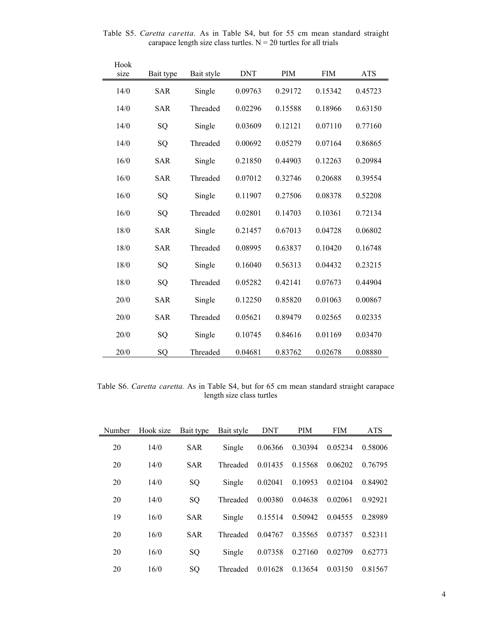| Hook<br>size | Bait type  | Bait style | <b>DNT</b> | PIM     | <b>FIM</b> | <b>ATS</b> |
|--------------|------------|------------|------------|---------|------------|------------|
| 14/0         | SAR        | Single     | 0.09763    | 0.29172 | 0.15342    | 0.45723    |
| 14/0         | <b>SAR</b> | Threaded   | 0.02296    | 0.15588 | 0.18966    | 0.63150    |
| 14/0         | SQ         | Single     | 0.03609    | 0.12121 | 0.07110    | 0.77160    |
| 14/0         | SQ         | Threaded   | 0.00692    | 0.05279 | 0.07164    | 0.86865    |
| 16/0         | <b>SAR</b> | Single     | 0.21850    | 0.44903 | 0.12263    | 0.20984    |
| 16/0         | SAR        | Threaded   | 0.07012    | 0.32746 | 0.20688    | 0.39554    |
| 16/0         | SQ         | Single     | 0.11907    | 0.27506 | 0.08378    | 0.52208    |
| 16/0         | SQ         | Threaded   | 0.02801    | 0.14703 | 0.10361    | 0.72134    |
| 18/0         | <b>SAR</b> | Single     | 0.21457    | 0.67013 | 0.04728    | 0.06802    |
| 18/0         | <b>SAR</b> | Threaded   | 0.08995    | 0.63837 | 0.10420    | 0.16748    |
| 18/0         | SQ         | Single     | 0.16040    | 0.56313 | 0.04432    | 0.23215    |
| 18/0         | SQ         | Threaded   | 0.05282    | 0.42141 | 0.07673    | 0.44904    |
| 20/0         | <b>SAR</b> | Single     | 0.12250    | 0.85820 | 0.01063    | 0.00867    |
| 20/0         | <b>SAR</b> | Threaded   | 0.05621    | 0.89479 | 0.02565    | 0.02335    |
| 20/0         | SQ         | Single     | 0.10745    | 0.84616 | 0.01169    | 0.03470    |
| 20/0         | SQ         | Threaded   | 0.04681    | 0.83762 | 0.02678    | 0.08880    |

Table S5. *Caretta caretta.* As in Table S4, but for 55 cm mean standard straight carapace length size class turtles.  $N = 20$  turtles for all trials

Table S6. *Caretta caretta.* As in Table S4, but for 65 cm mean standard straight carapace length size class turtles

| Number | Hook size | Bait type  | Bait style | <b>DNT</b> | <b>PIM</b> | <b>FIM</b> | <b>ATS</b> |
|--------|-----------|------------|------------|------------|------------|------------|------------|
| 20     | 14/0      | <b>SAR</b> | Single     | 0.06366    | 0.30394    | 0.05234    | 0.58006    |
| 20     | 14/0      | <b>SAR</b> | Threaded   | 0.01435    | 0.15568    | 0.06202    | 0.76795    |
| 20     | 14/0      | SQ         | Single     | 0.02041    | 0.10953    | 0.02104    | 0.84902    |
| 20     | 14/0      | SQ         | Threaded   | 0.00380    | 0.04638    | 0.02061    | 0.92921    |
| 19     | 16/0      | <b>SAR</b> | Single     | 0.15514    | 0.50942    | 0.04555    | 0.28989    |
| 20     | 16/0      | <b>SAR</b> | Threaded   | 0.04767    | 0.35565    | 0.07357    | 0.52311    |
| 20     | 16/0      | SQ         | Single     | 0.07358    | 0.27160    | 0.02709    | 0.62773    |
| 20     | 16/0      | SQ         | Threaded   | 0.01628    | 0.13654    | 0.03150    | 0.81567    |